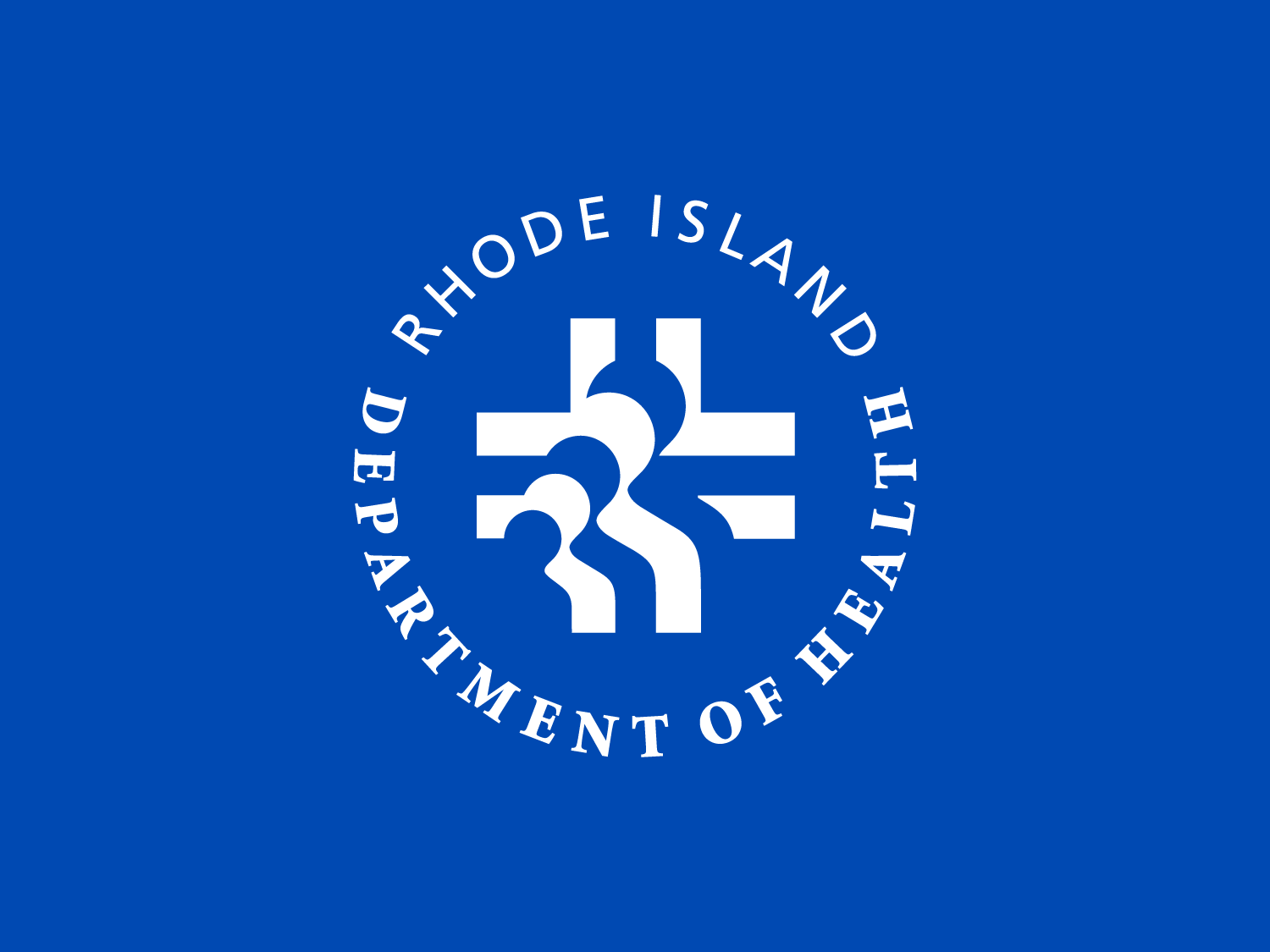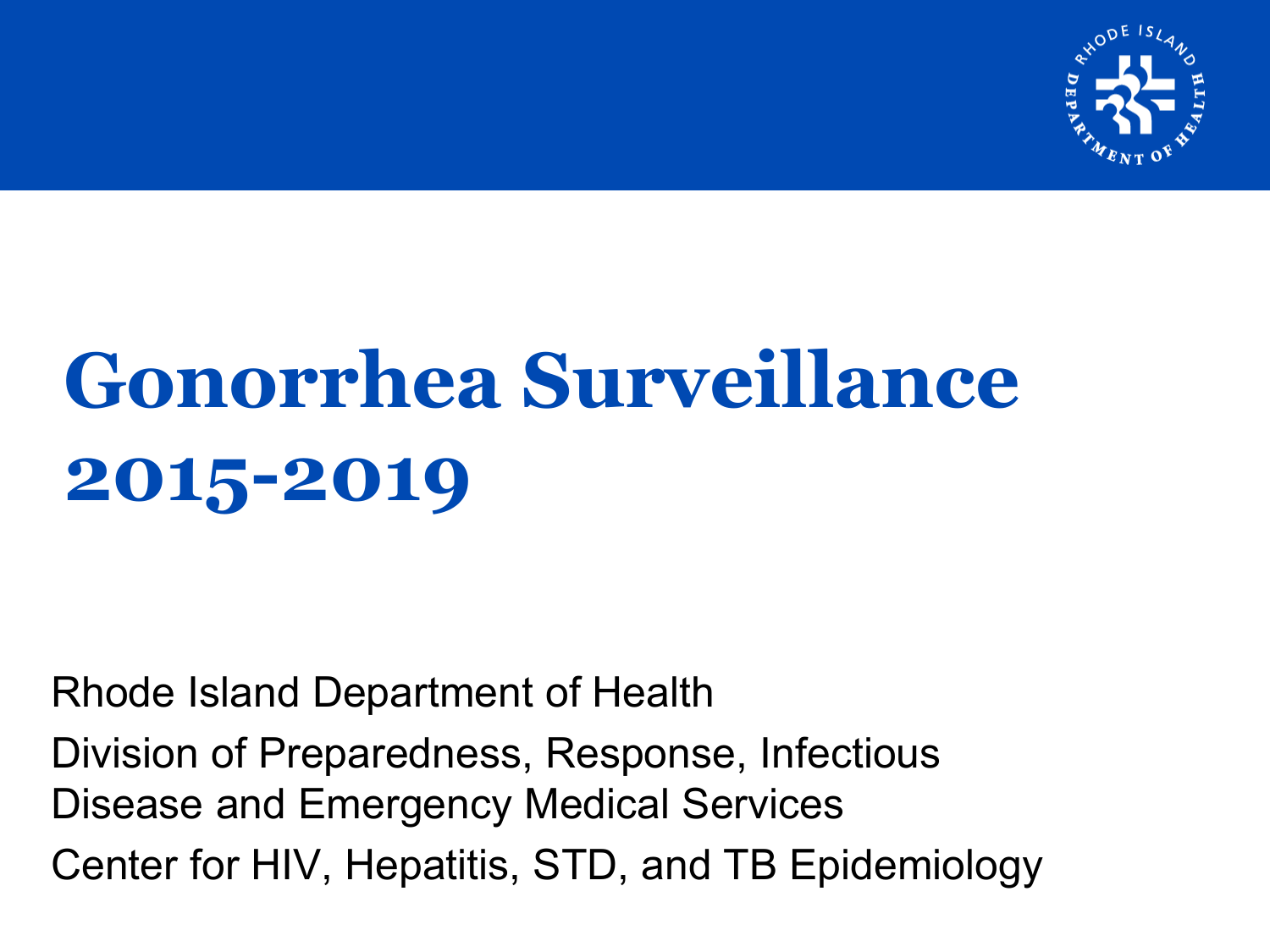

# **Gonorrhea Surveillance 2015-2019**

Rhode Island Department of Health

Division of Preparedness, Response, Infectious Disease and Emergency Medical Services Center for HIV, Hepatitis, STD, and TB Epidemiology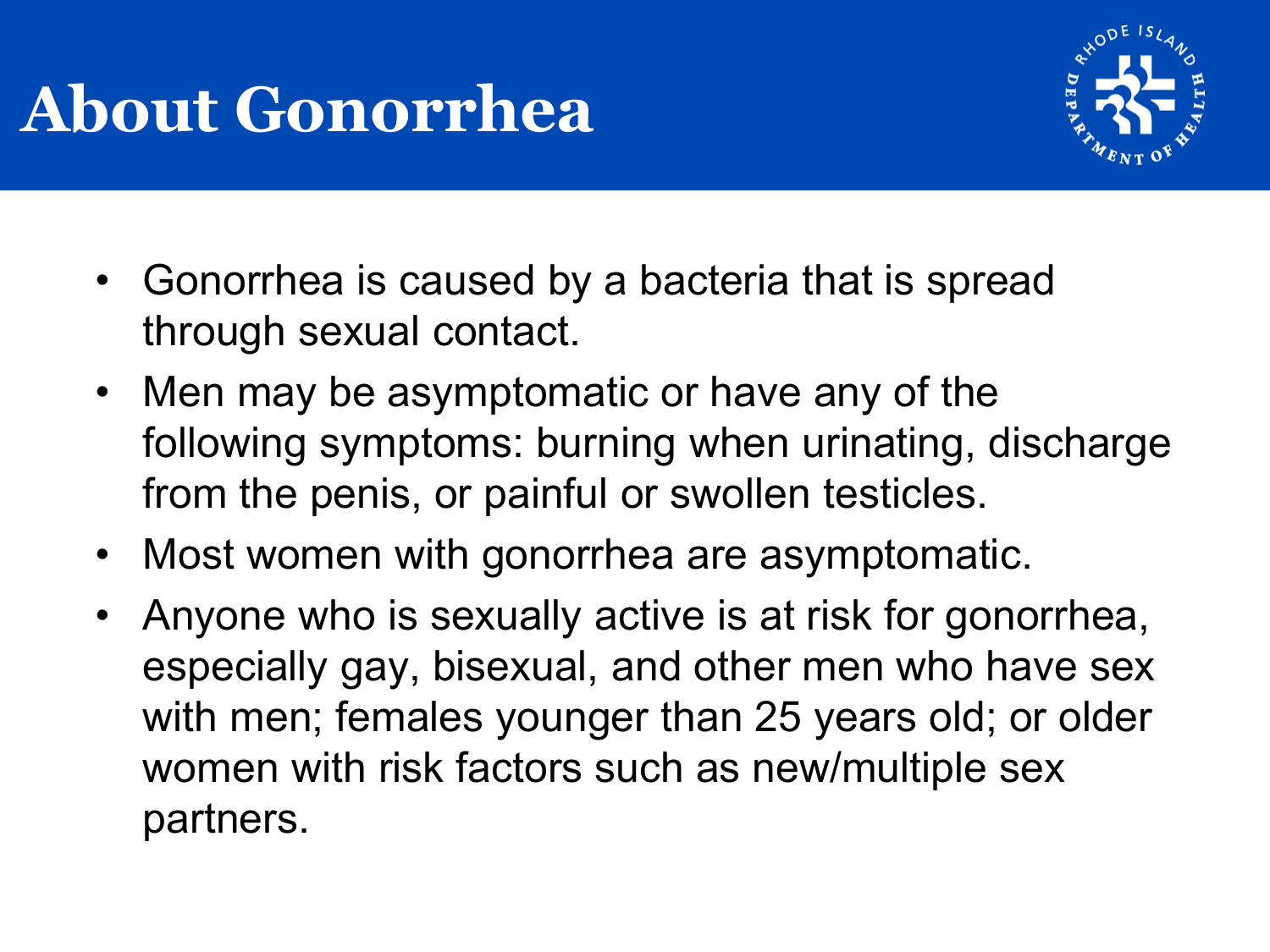## **About Gonorrhea**



- Gonorrhea is caused by a bacteria that is spread through sexual contact.
- Men may be asymptomatic or have any of the following symptoms: burning when urinating, discharge from the penis, or painful or swollen testicles.
- Most women with gonorrhea are asymptomatic.
- Anyone who is sexually active is at risk for gonorrhea, especially gay, bisexual, and other men who have sex with men; females younger than 25 years old; or older women with risk factors such as new/multiple sex partners.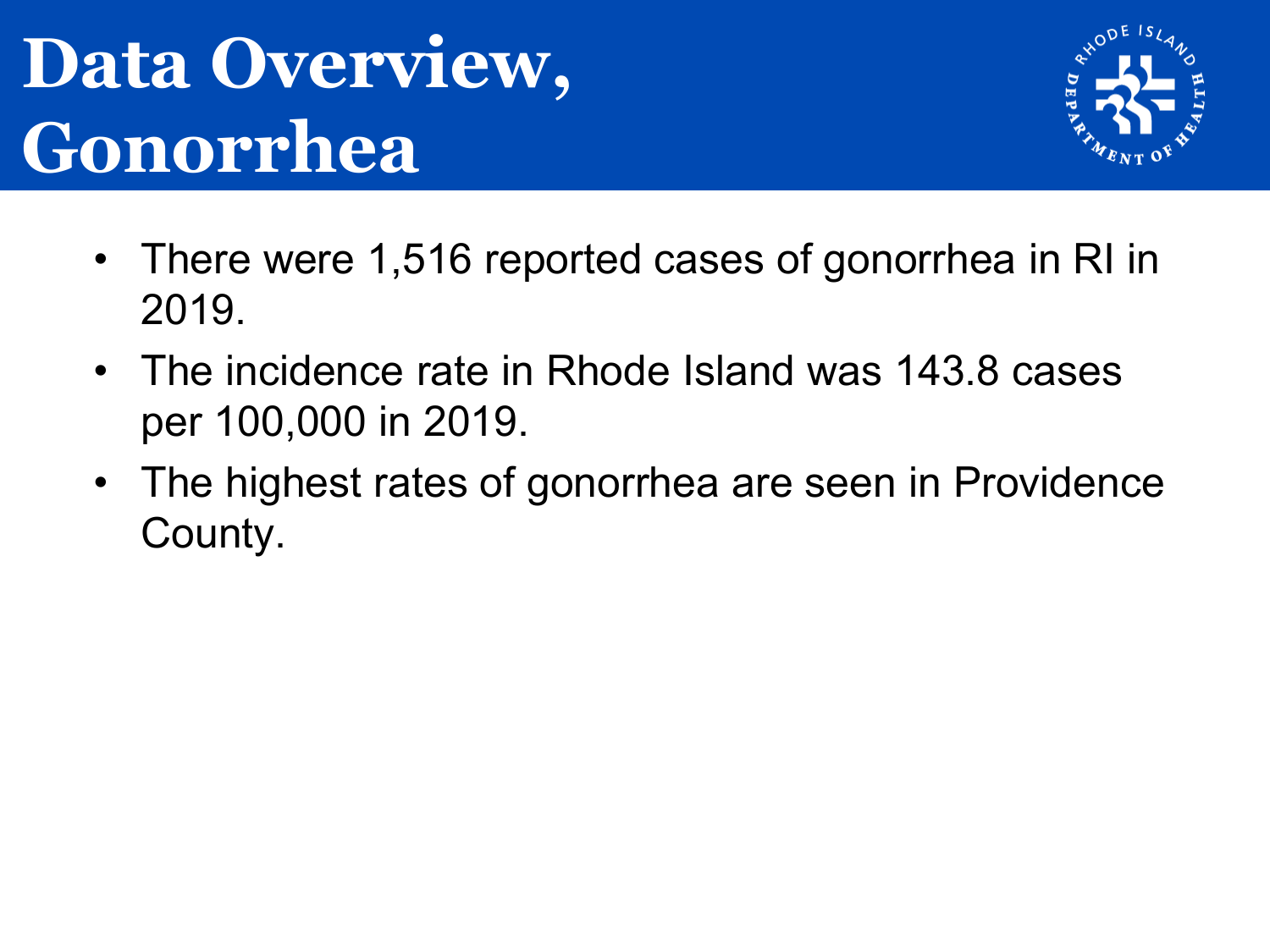## **Data Overview, Gonorrhea**



- There were 1,516 reported cases of gonorrhea in RI in 2019.
- The incidence rate in Rhode Island was 143.8 cases per 100,000 in 2019.
- The highest rates of gonorrhea are seen in Providence County.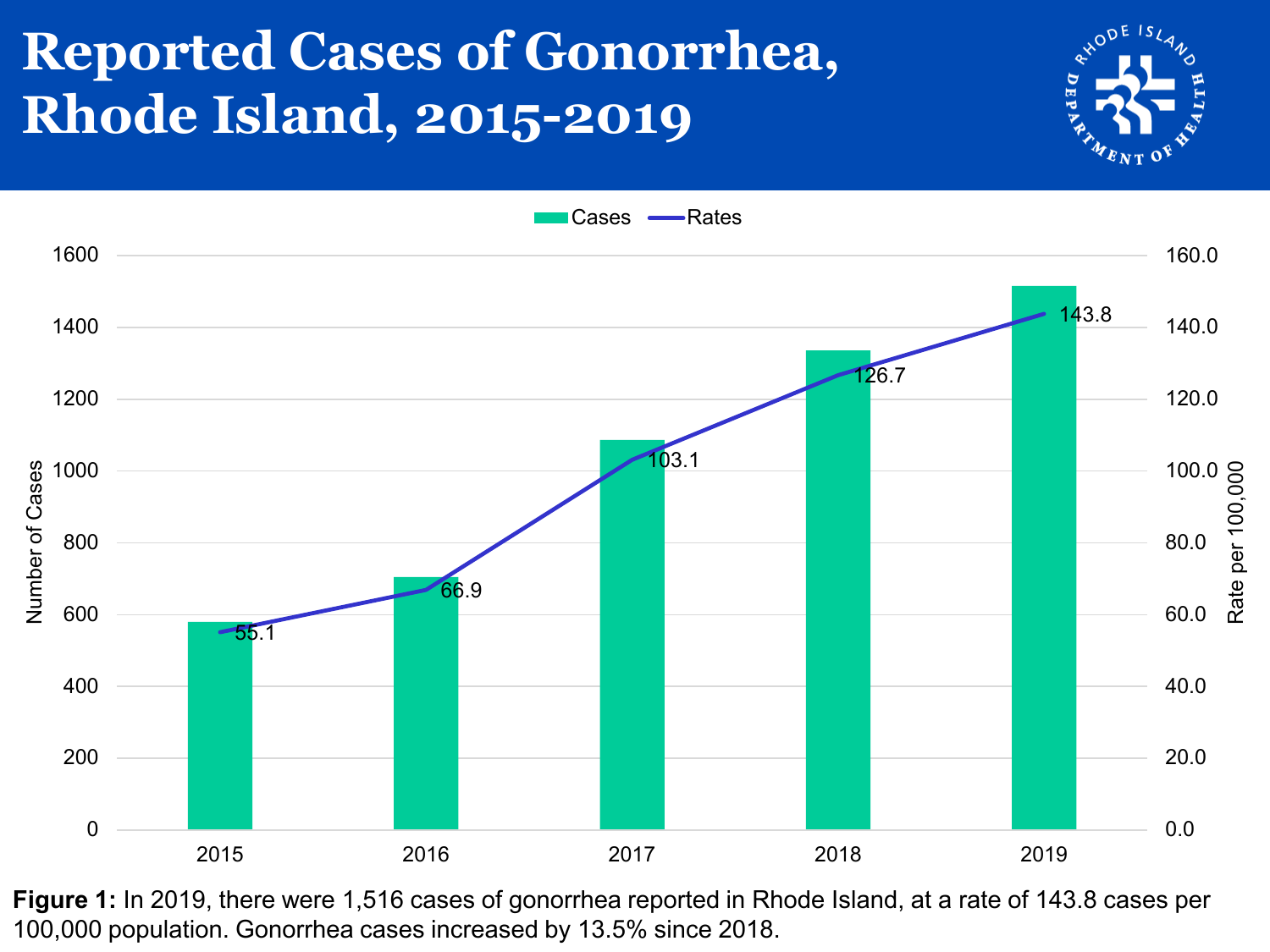## **Reported Cases of Gonorrhea, Rhode Island, 2015-2019**





**Figure 1:** In 2019, there were 1,516 cases of gonorrhea reported in Rhode Island, at a rate of 143.8 cases per 100,000 population. Gonorrhea cases increased by 13.5% since 2018.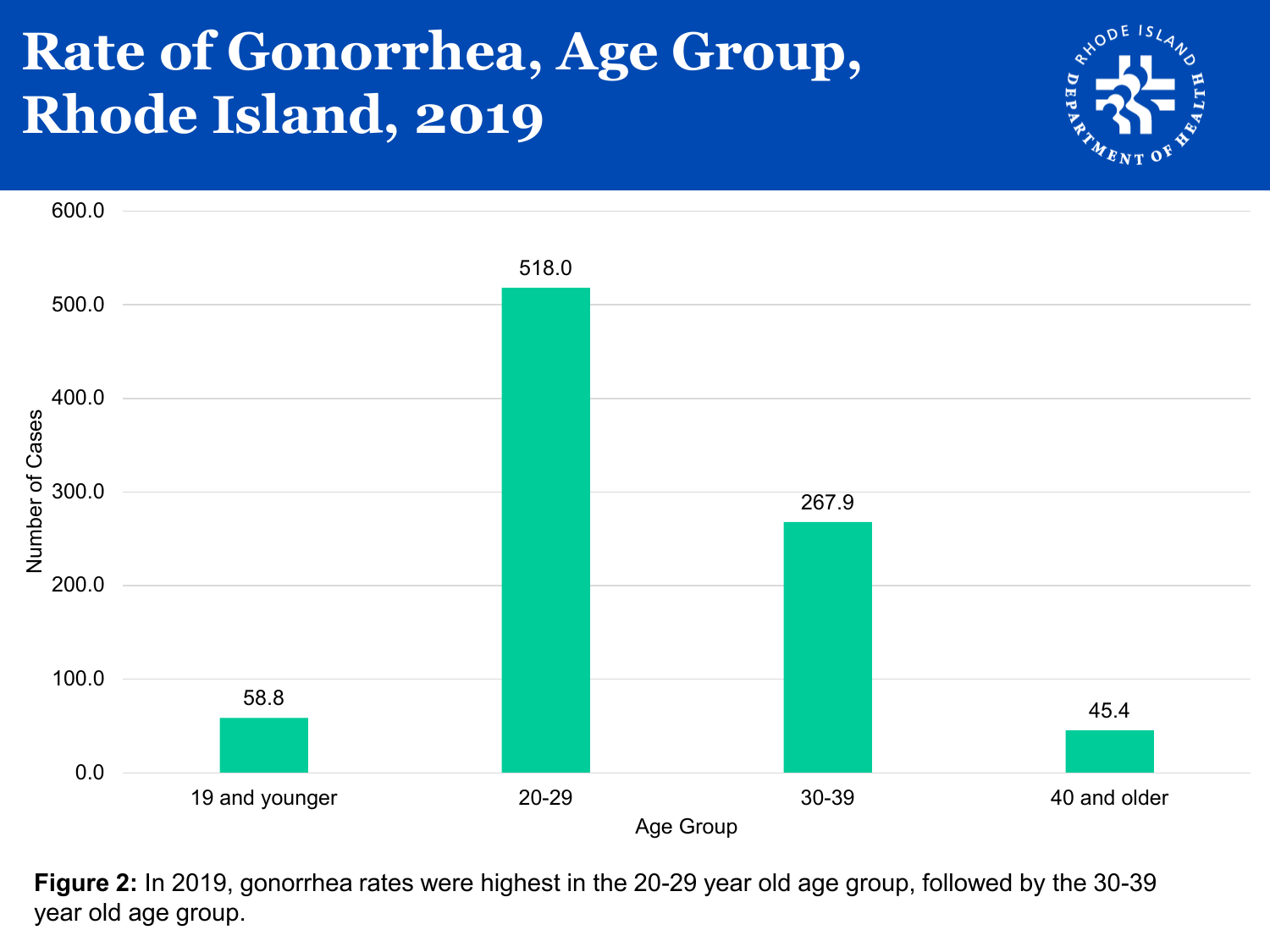### **Rate of Gonorrhea, Age Group, Rhode Island, 2019**





**Figure 2:** In 2019, gonorrhea rates were highest in the 20-29 year old age group, followed by the 30-39 year old age group.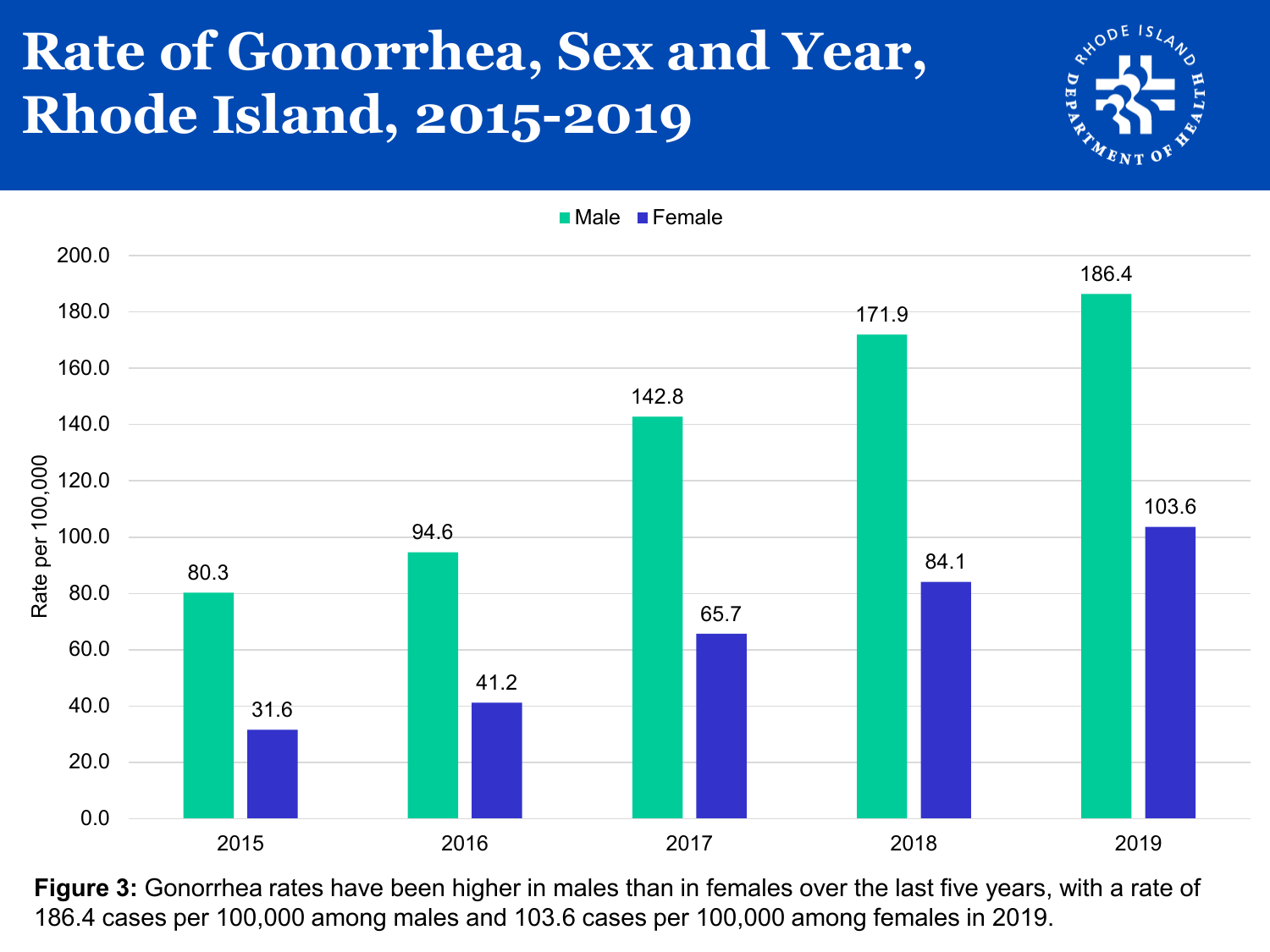## **Rate of Gonorrhea, Sex and Year, Rhode Island, 2015-2019**

Rate per 100,000

Rate per 100,000



186.4

103.6

80.3 94.6 142.8 171.9 31.6 41.2 65.7 84.1 40.0 60.0 80.0 100.0 120.0 140.0 160.0 180.0 200.0 **Male Female** 

0.0 20.0 2015 2016 2017 2018 2019

**Figure 3:** Gonorrhea rates have been higher in males than in females over the last five years, with a rate of 186.4 cases per 100,000 among males and 103.6 cases per 100,000 among females in 2019.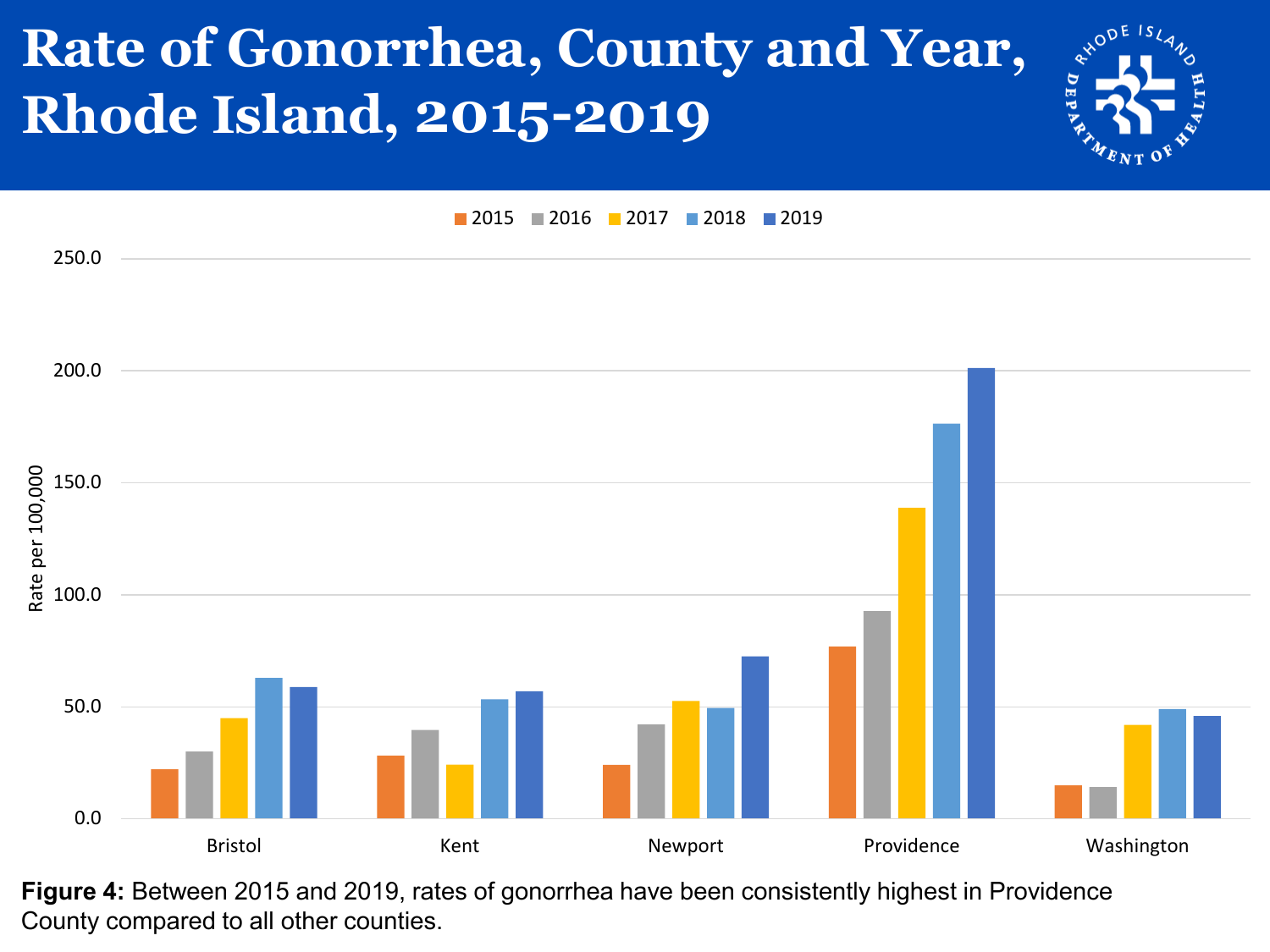## **Rate of Gonorrhea, County and Year, Rhode Island, 2015-2019**



**2015 2016 2017 2018 2019** 



**Figure 4:** Between 2015 and 2019, rates of gonorrhea have been consistently highest in Providence County compared to all other counties.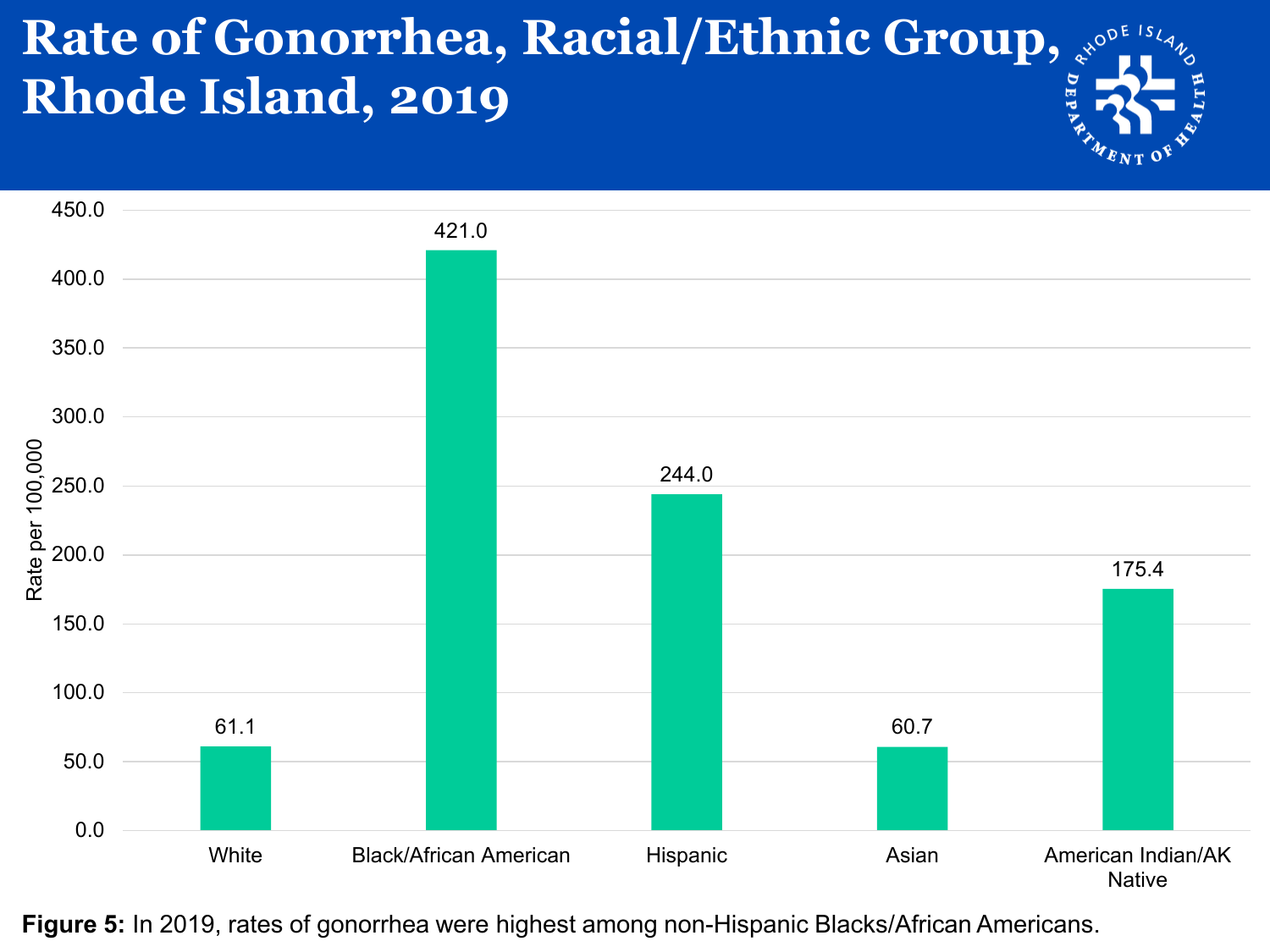#### **Rate of Gonorrhea, Racial/Ethnic Group, Rhode Island, 2019**



**Figure 5:** In 2019, rates of gonorrhea were highest among non-Hispanic Blacks/African Americans.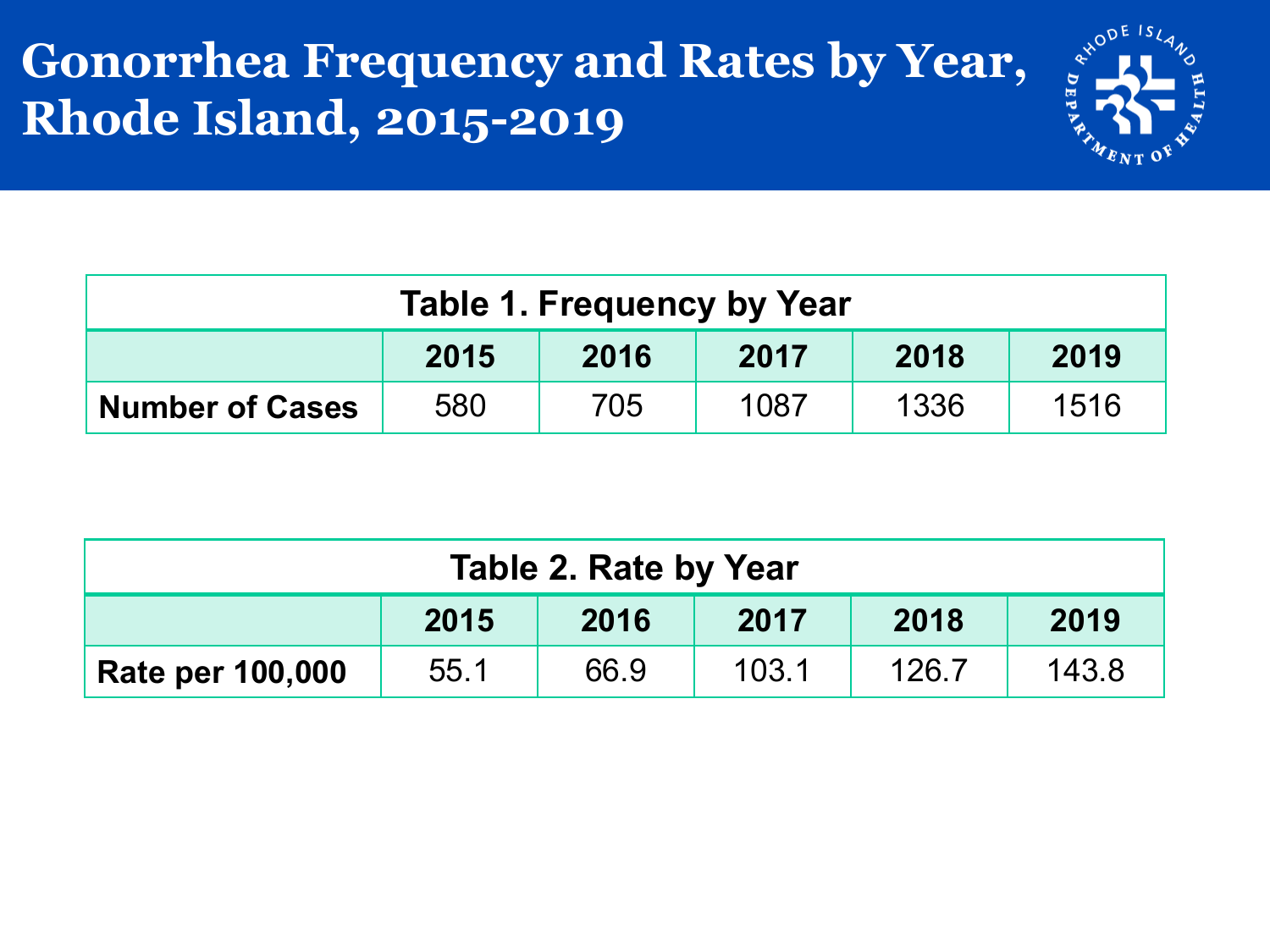#### **Gonorrhea Frequency and Rates by Year, Rhode Island, 2015-2019**



| <b>Table 1. Frequency by Year</b>    |     |     |      |      |      |  |
|--------------------------------------|-----|-----|------|------|------|--|
| 2015<br>2016<br>2019<br>2018<br>2017 |     |     |      |      |      |  |
| <b>Number of Cases</b>               | 580 | 705 | 1087 | 1336 | 1516 |  |

| Table 2. Rate by Year                |      |      |       |       |       |  |
|--------------------------------------|------|------|-------|-------|-------|--|
| 2015<br>2016<br>2019<br>2018<br>2017 |      |      |       |       |       |  |
| <b>Rate per 100,000</b>              | 55.1 | 66.9 | 103.1 | 126.7 | 143.8 |  |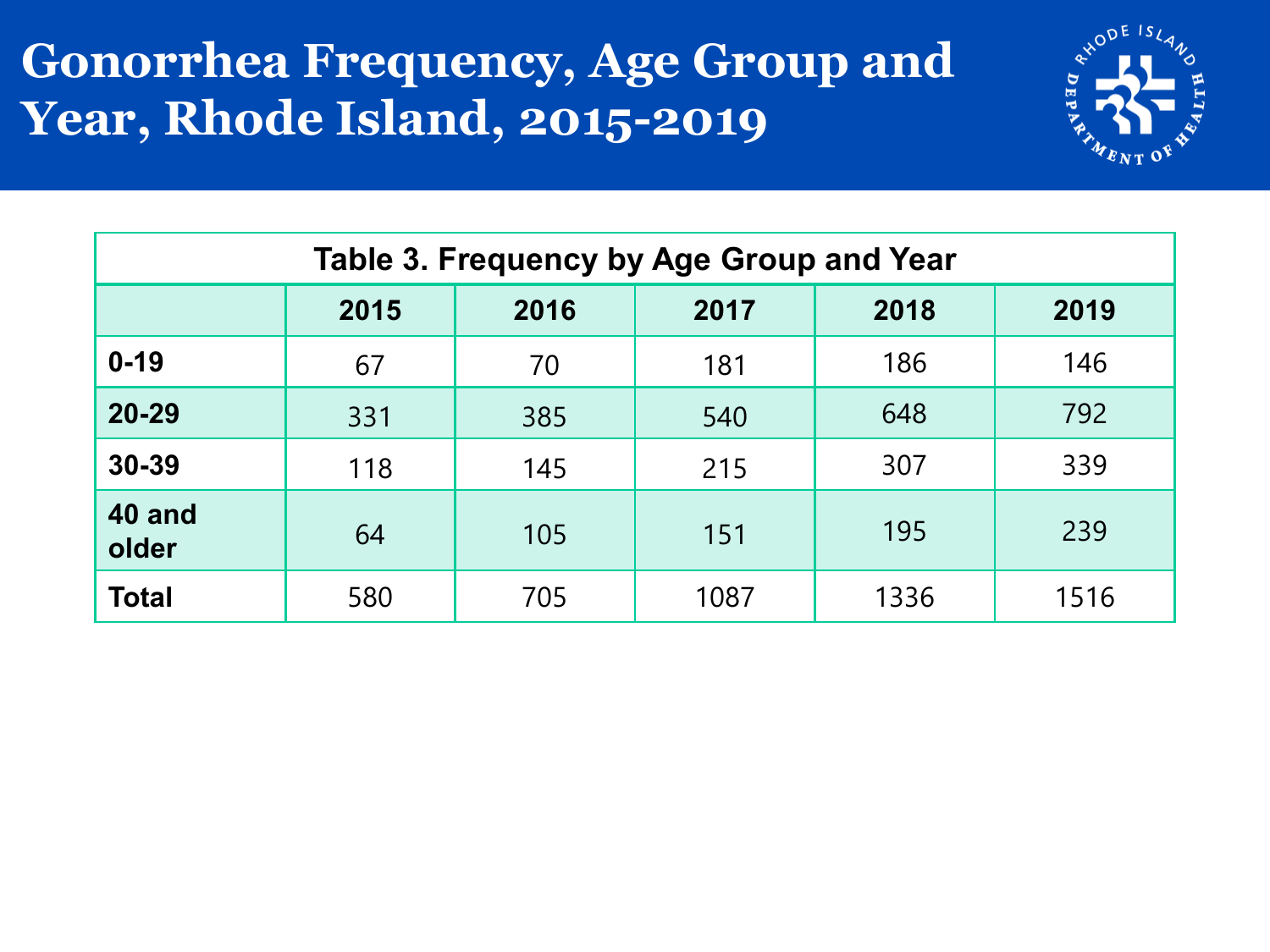#### **Gonorrhea Frequency, Age Group and Year, Rhode Island, 2015-2019**



| Table 3. Frequency by Age Group and Year |                                      |     |      |      |      |  |  |  |
|------------------------------------------|--------------------------------------|-----|------|------|------|--|--|--|
|                                          | 2018<br>2019<br>2015<br>2016<br>2017 |     |      |      |      |  |  |  |
| $0 - 19$                                 | 67                                   | 70  | 181  | 186  | 146  |  |  |  |
| 20-29                                    | 331                                  | 385 | 540  | 648  | 792  |  |  |  |
| 30-39                                    | 118                                  | 145 | 215  | 307  | 339  |  |  |  |
| 40 and<br>older                          | 64                                   | 105 | 151  | 195  | 239  |  |  |  |
| <b>Total</b>                             | 580                                  | 705 | 1087 | 1336 | 1516 |  |  |  |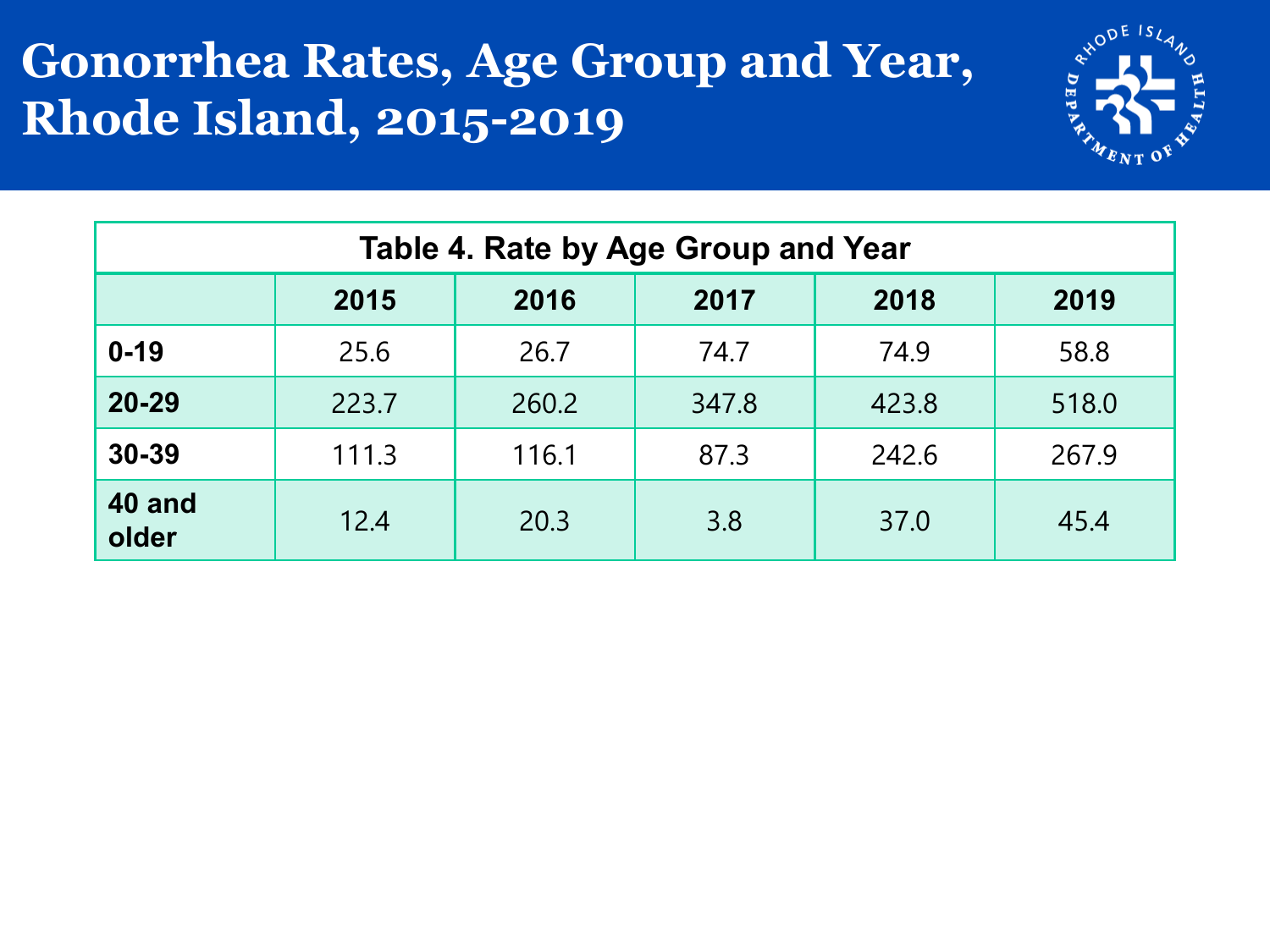#### **Gonorrhea Rates, Age Group and Year, Rhode Island, 2015-2019**



| Table 4. Rate by Age Group and Year |                                      |       |       |       |       |  |  |  |
|-------------------------------------|--------------------------------------|-------|-------|-------|-------|--|--|--|
|                                     | 2015<br>2019<br>2018<br>2016<br>2017 |       |       |       |       |  |  |  |
| $0 - 19$                            | 25.6                                 | 26.7  | 74.7  | 74.9  | 58.8  |  |  |  |
| $20 - 29$                           | 223.7                                | 260.2 | 347.8 | 423.8 | 518.0 |  |  |  |
| 30-39                               | 111.3                                | 116.1 | 87.3  | 242.6 | 267.9 |  |  |  |
| 40 and<br>older                     | 12.4                                 | 20.3  | 3.8   | 37.0  | 45.4  |  |  |  |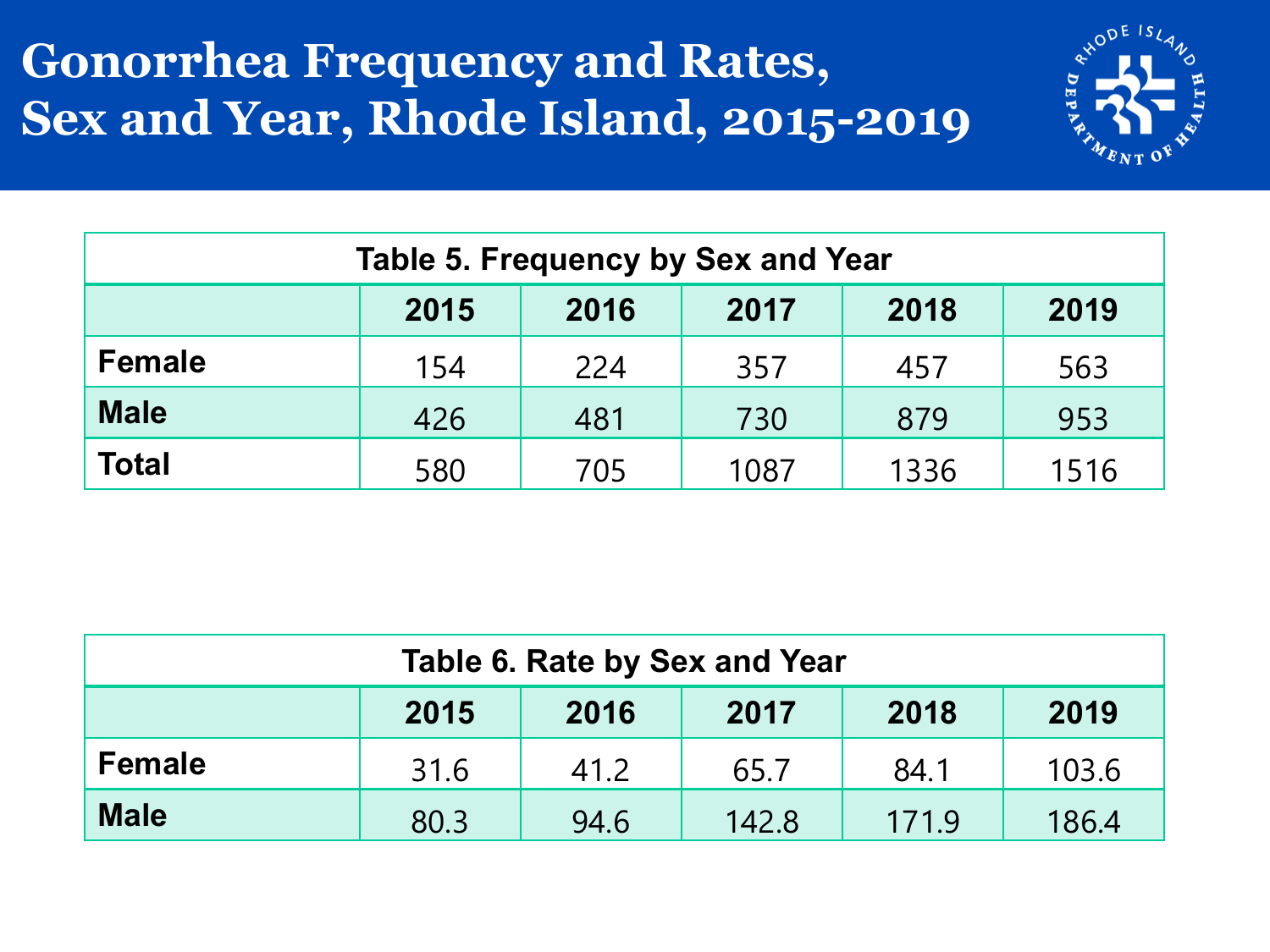#### **Gonorrhea Frequency and Rates, Sex and Year, Rhode Island, 2015-2019**



| <b>Table 5. Frequency by Sex and Year</b> |     |     |      |      |      |  |  |
|-------------------------------------------|-----|-----|------|------|------|--|--|
| 2015<br>2018<br>2017<br>2019<br>2016      |     |     |      |      |      |  |  |
| <b>Female</b>                             | 154 | 224 | 357  | 457  | 563  |  |  |
| <b>Male</b>                               | 426 | 481 | 730  | 879  | 953  |  |  |
| <b>Total</b>                              | 580 | 705 | 1087 | 1336 | 1516 |  |  |

| Table 6. Rate by Sex and Year                          |      |      |      |      |       |  |  |
|--------------------------------------------------------|------|------|------|------|-------|--|--|
| 2018<br>2017<br>2015<br>2016<br>2019                   |      |      |      |      |       |  |  |
| <b>Female</b>                                          | 31.6 | 41.2 | 65.7 | 84.1 | 103.6 |  |  |
| <b>Male</b><br>171.9<br>186.4<br>80.3<br>142.8<br>94.6 |      |      |      |      |       |  |  |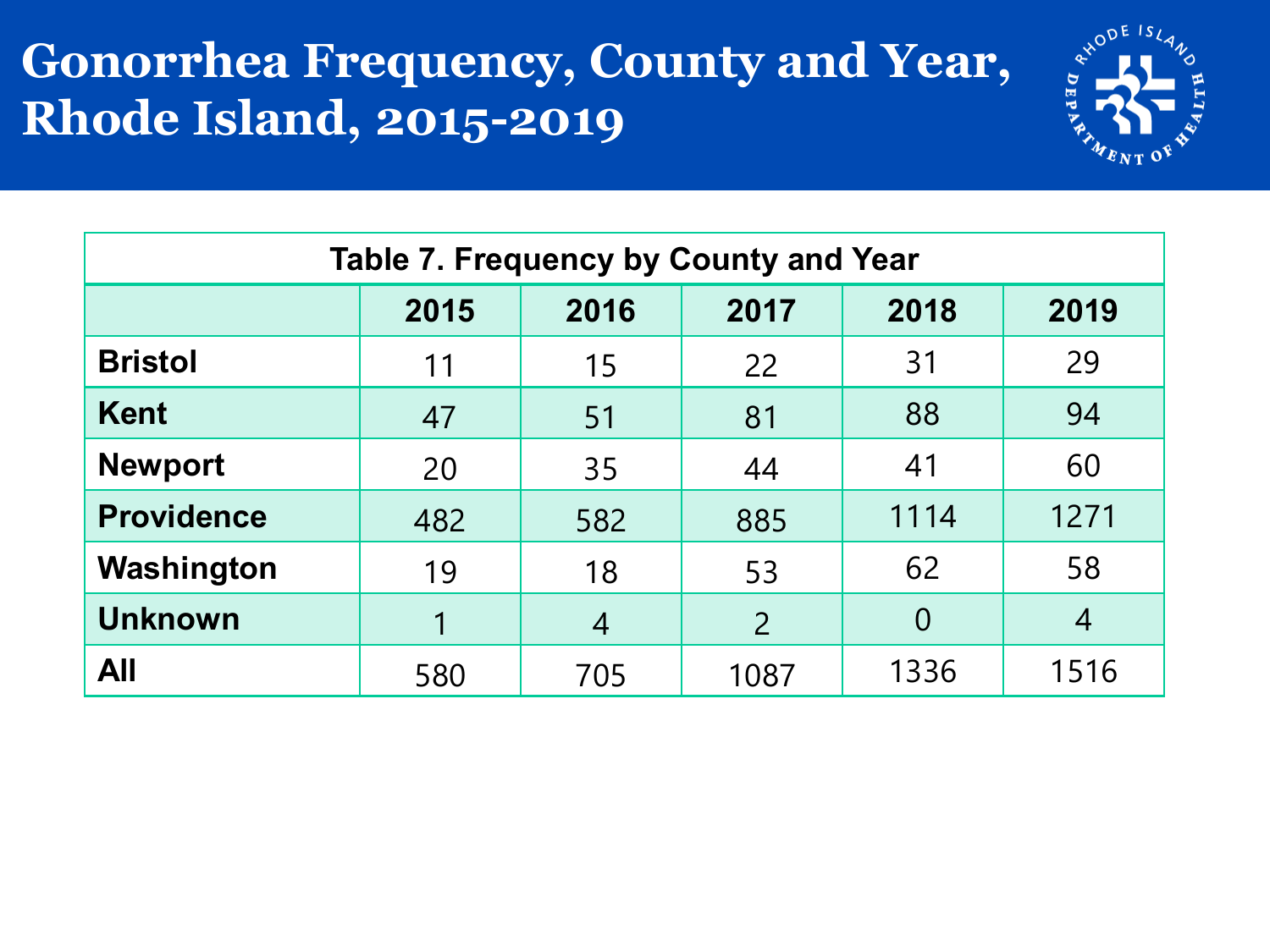#### **Gonorrhea Frequency, County and Year, Rhode Island, 2015-2019**



| Table 7. Frequency by County and Year |      |      |                |                |                |  |  |
|---------------------------------------|------|------|----------------|----------------|----------------|--|--|
|                                       | 2015 | 2016 | 2017           | 2018           | 2019           |  |  |
| <b>Bristol</b>                        | 11   | 15   | 22             | 31             | 29             |  |  |
| <b>Kent</b>                           | 47   | 51   | 81             | 88             | 94             |  |  |
| <b>Newport</b>                        | 20   | 35   | 44             | 41             | 60             |  |  |
| <b>Providence</b>                     | 482  | 582  | 885            | 1114           | 1271           |  |  |
| Washington                            | 19   | 18   | 53             | 62             | 58             |  |  |
| <b>Unknown</b>                        | 1    | 4    | $\overline{2}$ | $\overline{0}$ | $\overline{4}$ |  |  |
| <b>All</b>                            | 580  | 705  | 1087           | 1336           | 1516           |  |  |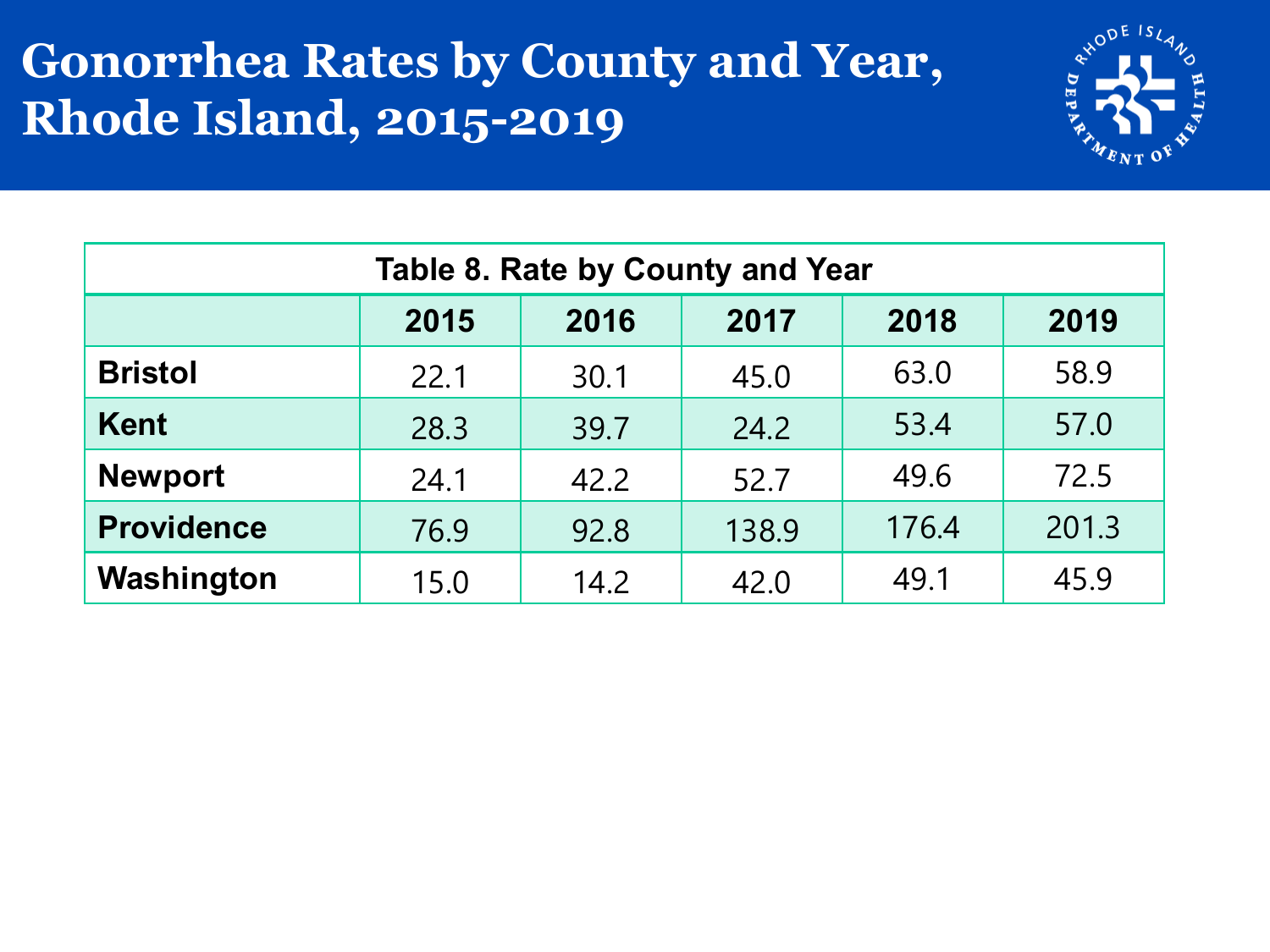#### **Gonorrhea Rates by County and Year, Rhode Island, 2015-2019**



| Table 8. Rate by County and Year |      |      |       |       |       |  |  |
|----------------------------------|------|------|-------|-------|-------|--|--|
|                                  | 2015 | 2016 | 2017  | 2018  | 2019  |  |  |
| <b>Bristol</b>                   | 22.1 | 30.1 | 45.0  | 63.0  | 58.9  |  |  |
| <b>Kent</b>                      | 28.3 | 39.7 | 24.2  | 53.4  | 57.0  |  |  |
| <b>Newport</b>                   | 24.1 | 42.2 | 52.7  | 49.6  | 72.5  |  |  |
| <b>Providence</b>                | 76.9 | 92.8 | 138.9 | 176.4 | 201.3 |  |  |
| Washington                       | 15.0 | 14.2 | 42.0  | 49.1  | 45.9  |  |  |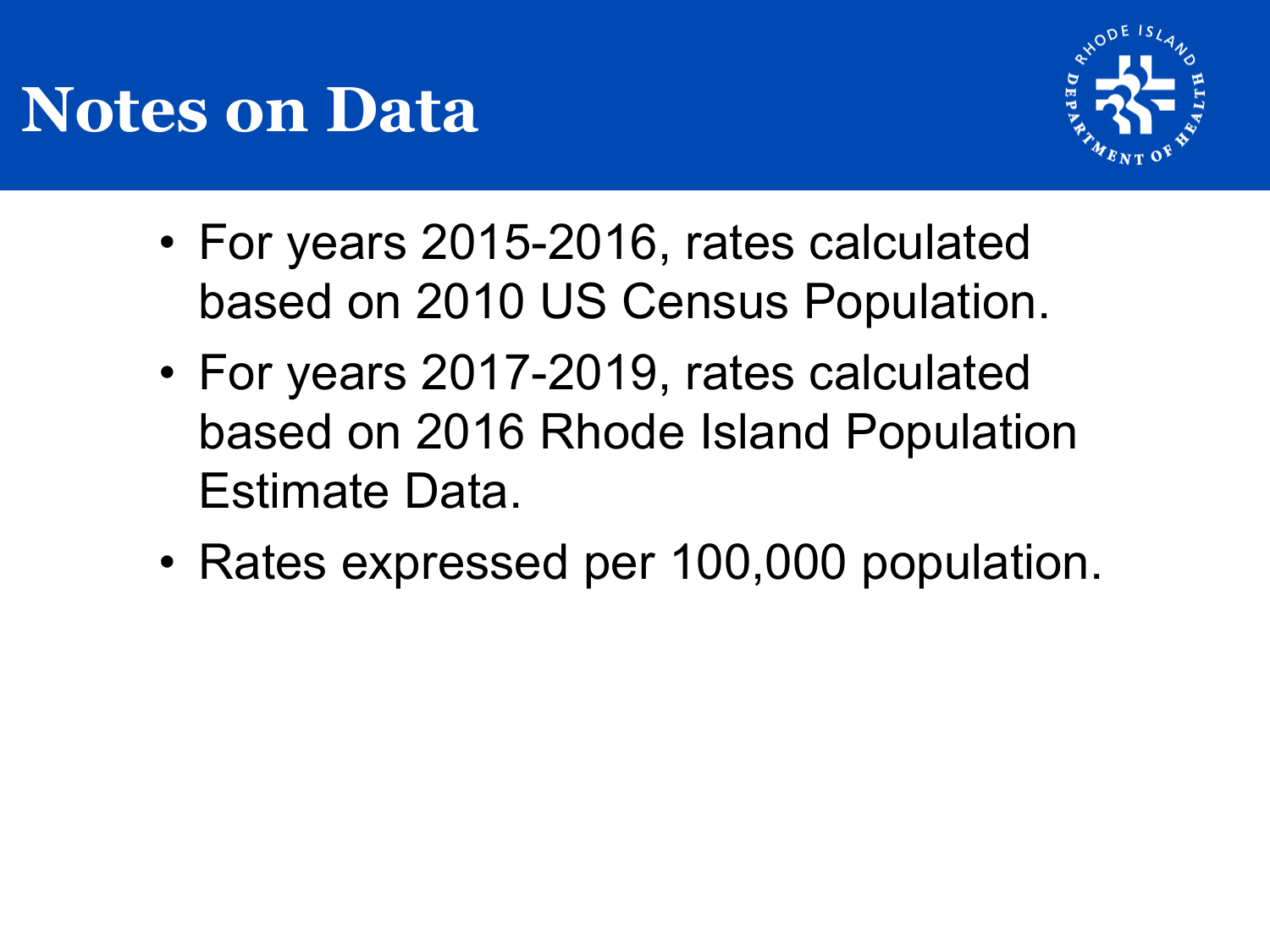## **Notes on Data**



- For years 2015-2016, rates calculated based on 2010 US Census Population.
- For years 2017-2019, rates calculated based on 2016 Rhode Island Population Estimate Data.
- Rates expressed per 100,000 population.